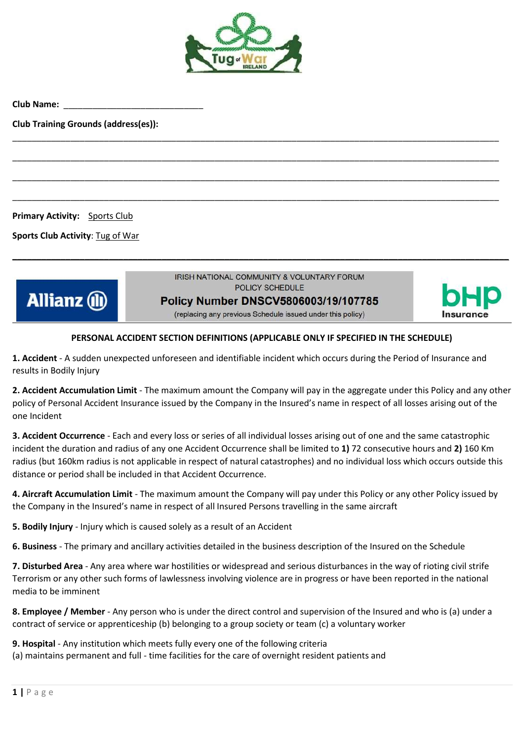

\_\_\_\_\_\_\_\_\_\_\_\_\_\_\_\_\_\_\_\_\_\_\_\_\_\_\_\_\_\_\_\_\_\_\_\_\_\_\_\_\_\_\_\_\_\_\_\_\_\_\_\_\_\_\_\_\_\_\_\_\_\_\_\_\_\_\_\_\_\_\_\_\_\_\_\_\_\_\_\_\_\_\_\_\_\_\_\_\_\_\_\_\_\_\_\_\_\_\_\_\_

\_\_\_\_\_\_\_\_\_\_\_\_\_\_\_\_\_\_\_\_\_\_\_\_\_\_\_\_\_\_\_\_\_\_\_\_\_\_\_\_\_\_\_\_\_\_\_\_\_\_\_\_\_\_\_\_\_\_\_\_\_\_\_\_\_\_\_\_\_\_\_\_\_\_\_\_\_\_\_\_\_\_\_\_\_\_\_\_\_\_\_\_\_\_\_\_\_\_\_\_\_

\_\_\_\_\_\_\_\_\_\_\_\_\_\_\_\_\_\_\_\_\_\_\_\_\_\_\_\_\_\_\_\_\_\_\_\_\_\_\_\_\_\_\_\_\_\_\_\_\_\_\_\_\_\_\_\_\_\_\_\_\_\_\_\_\_\_\_\_\_\_\_\_\_\_\_\_\_\_\_\_\_\_\_\_\_\_\_\_\_\_\_\_\_\_\_\_\_\_\_\_\_

\_\_\_\_\_\_\_\_\_\_\_\_\_\_\_\_\_\_\_\_\_\_\_\_\_\_\_\_\_\_\_\_\_\_\_\_\_\_\_\_\_\_\_\_\_\_\_\_\_\_\_\_\_\_\_\_\_\_\_\_\_\_\_\_\_\_\_\_\_\_\_\_\_\_\_\_\_\_\_\_\_\_\_\_\_\_\_\_\_\_\_\_\_\_\_\_\_\_\_\_\_

**Club Name:** \_\_\_\_\_\_\_\_\_\_\_\_\_\_\_\_\_\_\_\_\_\_\_\_\_\_\_\_\_

**Club Training Grounds (address(es)):**

**Primary Activity:** Sports Club

**Sports Club Activity**: Tug of War



IRISH NATIONAL COMMUNITY & VOLUNTARY FORUM POLICY SCHEDULE

**\_\_\_\_\_\_\_\_\_\_\_\_\_\_\_\_\_\_\_\_\_\_\_\_\_\_\_\_\_\_\_\_\_\_\_\_\_\_\_\_\_\_\_\_\_\_\_\_\_\_\_\_\_\_\_\_\_\_\_\_\_\_\_\_\_\_\_\_\_\_\_\_\_\_\_\_\_\_\_\_\_\_\_\_\_\_\_\_\_\_\_\_\_\_\_\_\_\_\_\_\_\_\_**

**Policy Number DNSCV5806003/19/107785** 

(replacing any previous Schedule issued under this policy)

## **PERSONAL ACCIDENT SECTION DEFINITIONS (APPLICABLE ONLY IF SPECIFIED IN THE SCHEDULE)**

**1. Accident** - A sudden unexpected unforeseen and identifiable incident which occurs during the Period of Insurance and results in Bodily Injury

**2. Accident Accumulation Limit** - The maximum amount the Company will pay in the aggregate under this Policy and any other policy of Personal Accident Insurance issued by the Company in the Insured's name in respect of all losses arising out of the one Incident

**3. Accident Occurrence** - Each and every loss or series of all individual losses arising out of one and the same catastrophic incident the duration and radius of any one Accident Occurrence shall be limited to **1)** 72 consecutive hours and **2)** 160 Km radius (but 160km radius is not applicable in respect of natural catastrophes) and no individual loss which occurs outside this distance or period shall be included in that Accident Occurrence.

**4. Aircraft Accumulation Limit** - The maximum amount the Company will pay under this Policy or any other Policy issued by the Company in the Insured's name in respect of all Insured Persons travelling in the same aircraft

**5. Bodily Injury** - Injury which is caused solely as a result of an Accident

**6. Business** - The primary and ancillary activities detailed in the business description of the Insured on the Schedule

**7. Disturbed Area** - Any area where war hostilities or widespread and serious disturbances in the way of rioting civil strife Terrorism or any other such forms of lawlessness involving violence are in progress or have been reported in the national media to be imminent

**8. Employee / Member** - Any person who is under the direct control and supervision of the Insured and who is (a) under a contract of service or apprenticeship (b) belonging to a group society or team (c) a voluntary worker

**9. Hospital** - Any institution which meets fully every one of the following criteria (a) maintains permanent and full - time facilities for the care of overnight resident patients and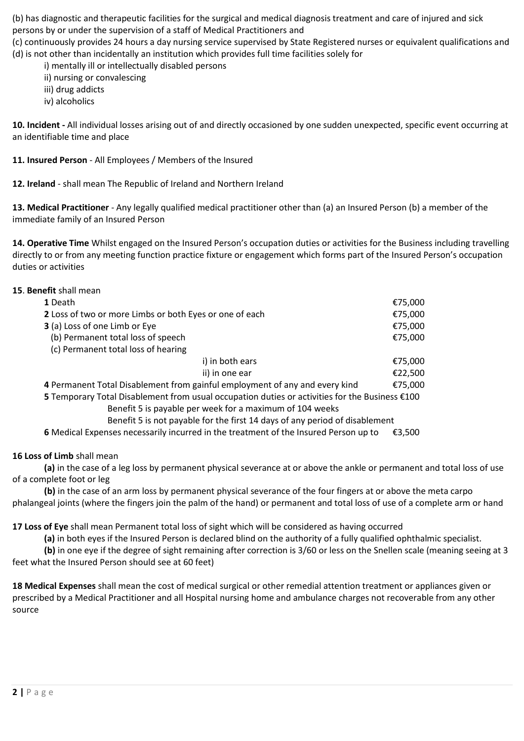(b) has diagnostic and therapeutic facilities for the surgical and medical diagnosis treatment and care of injured and sick persons by or under the supervision of a staff of Medical Practitioners and

(c) continuously provides 24 hours a day nursing service supervised by State Registered nurses or equivalent qualifications and (d) is not other than incidentally an institution which provides full time facilities solely for

i) mentally ill or intellectually disabled persons

ii) nursing or convalescing

iii) drug addicts

iv) alcoholics

**10. Incident -** All individual losses arising out of and directly occasioned by one sudden unexpected, specific event occurring at an identifiable time and place

**11. Insured Person** - All Employees / Members of the Insured

**12. Ireland** - shall mean The Republic of Ireland and Northern Ireland

**13. Medical Practitioner** - Any legally qualified medical practitioner other than (a) an Insured Person (b) a member of the immediate family of an Insured Person

**14. Operative Time** Whilst engaged on the Insured Person's occupation duties or activities for the Business including travelling directly to or from any meeting function practice fixture or engagement which forms part of the Insured Person's occupation duties or activities

## **15**. **Benefit** shall mean

| 1 Death                                                                                        | €75,000 |
|------------------------------------------------------------------------------------------------|---------|
| 2 Loss of two or more Limbs or both Eyes or one of each                                        | €75,000 |
| 3 (a) Loss of one Limb or Eye                                                                  | €75,000 |
| (b) Permanent total loss of speech                                                             | €75,000 |
| (c) Permanent total loss of hearing                                                            |         |
| i) in both ears                                                                                | €75,000 |
| ii) in one ear                                                                                 | €22,500 |
| 4 Permanent Total Disablement from gainful employment of any and every kind                    | €75,000 |
| 5 Temporary Total Disablement from usual occupation duties or activities for the Business €100 |         |

Benefit 5 is payable per week for a maximum of 104 weeks

Benefit 5 is not payable for the first 14 days of any period of disablement

**6** Medical Expenses necessarily incurred in the treatment of the Insured Person up to €3,500

## **16 Loss of Limb** shall mean

**(a)** in the case of a leg loss by permanent physical severance at or above the ankle or permanent and total loss of use of a complete foot or leg

**(b)** in the case of an arm loss by permanent physical severance of the four fingers at or above the meta carpo phalangeal joints (where the fingers join the palm of the hand) or permanent and total loss of use of a complete arm or hand

**17 Loss of Eye** shall mean Permanent total loss of sight which will be considered as having occurred

**(a)** in both eyes if the Insured Person is declared blind on the authority of a fully qualified ophthalmic specialist.

**(b)** in one eye if the degree of sight remaining after correction is 3/60 or less on the Snellen scale (meaning seeing at 3 feet what the Insured Person should see at 60 feet)

**18 Medical Expenses** shall mean the cost of medical surgical or other remedial attention treatment or appliances given or prescribed by a Medical Practitioner and all Hospital nursing home and ambulance charges not recoverable from any other source